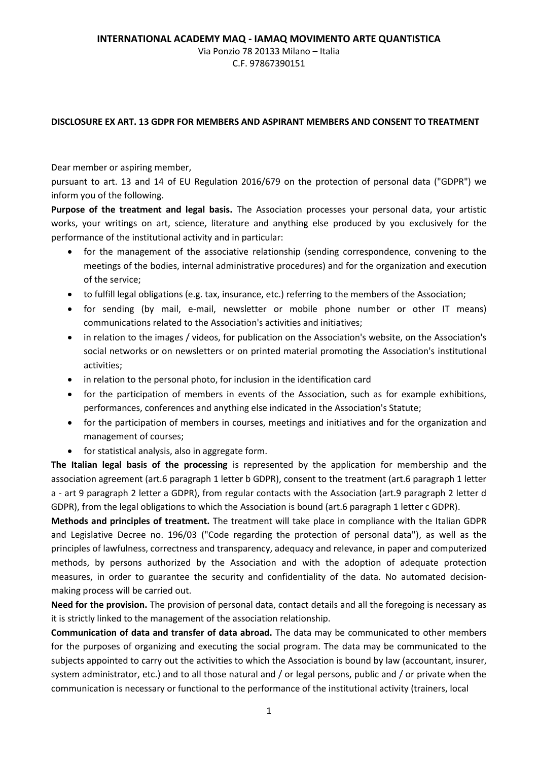## Via Ponzio 78 20133 Milano – Italia C.F. 97867390151

## **DISCLOSURE EX ART. 13 GDPR FOR MEMBERS AND ASPIRANT MEMBERS AND CONSENT TO TREATMENT**

Dear member or aspiring member,

pursuant to art. 13 and 14 of EU Regulation 2016/679 on the protection of personal data ("GDPR") we inform you of the following.

**Purpose of the treatment and legal basis.** The Association processes your personal data, your artistic works, your writings on art, science, literature and anything else produced by you exclusively for the performance of the institutional activity and in particular:

- for the management of the associative relationship (sending correspondence, convening to the meetings of the bodies, internal administrative procedures) and for the organization and execution of the service;
- to fulfill legal obligations (e.g. tax, insurance, etc.) referring to the members of the Association;
- for sending (by mail, e-mail, newsletter or mobile phone number or other IT means) communications related to the Association's activities and initiatives;
- in relation to the images / videos, for publication on the Association's website, on the Association's social networks or on newsletters or on printed material promoting the Association's institutional activities;
- in relation to the personal photo, for inclusion in the identification card
- for the participation of members in events of the Association, such as for example exhibitions, performances, conferences and anything else indicated in the Association's Statute;
- for the participation of members in courses, meetings and initiatives and for the organization and management of courses;
- for statistical analysis, also in aggregate form.

**The Italian legal basis of the processing** is represented by the application for membership and the association agreement (art.6 paragraph 1 letter b GDPR), consent to the treatment (art.6 paragraph 1 letter a - art 9 paragraph 2 letter a GDPR), from regular contacts with the Association (art.9 paragraph 2 letter d GDPR), from the legal obligations to which the Association is bound (art.6 paragraph 1 letter c GDPR).

**Methods and principles of treatment.** The treatment will take place in compliance with the Italian GDPR and Legislative Decree no. 196/03 ("Code regarding the protection of personal data"), as well as the principles of lawfulness, correctness and transparency, adequacy and relevance, in paper and computerized methods, by persons authorized by the Association and with the adoption of adequate protection measures, in order to guarantee the security and confidentiality of the data. No automated decisionmaking process will be carried out.

**Need for the provision.** The provision of personal data, contact details and all the foregoing is necessary as it is strictly linked to the management of the association relationship.

**Communication of data and transfer of data abroad.** The data may be communicated to other members for the purposes of organizing and executing the social program. The data may be communicated to the subjects appointed to carry out the activities to which the Association is bound by law (accountant, insurer, system administrator, etc.) and to all those natural and / or legal persons, public and / or private when the communication is necessary or functional to the performance of the institutional activity (trainers, local